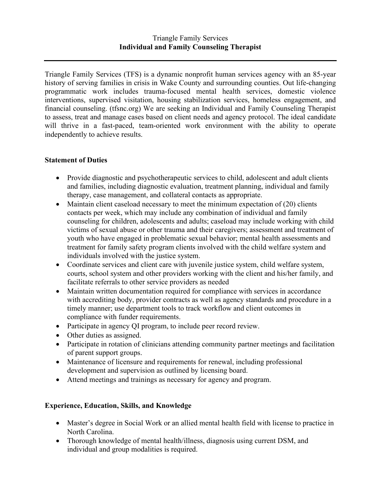Triangle Family Services (TFS) is a dynamic nonprofit human services agency with an 85-year history of serving families in crisis in Wake County and surrounding counties. Out life-changing programmatic work includes trauma-focused mental health services, domestic violence interventions, supervised visitation, housing stabilization services, homeless engagement, and financial counseling. (tfsnc.org) We are seeking an Individual and Family Counseling Therapist to assess, treat and manage cases based on client needs and agency protocol. The ideal candidate will thrive in a fast-paced, team-oriented work environment with the ability to operate independently to achieve results.

## **Statement of Duties**

- Provide diagnostic and psychotherapeutic services to child, adolescent and adult clients and families, including diagnostic evaluation, treatment planning, individual and family therapy, case management, and collateral contacts as appropriate.
- Maintain client caseload necessary to meet the minimum expectation of (20) clients contacts per week, which may include any combination of individual and family counseling for children, adolescents and adults; caseload may include working with child victims of sexual abuse or other trauma and their caregivers; assessment and treatment of youth who have engaged in problematic sexual behavior; mental health assessments and treatment for family safety program clients involved with the child welfare system and individuals involved with the justice system.
- Coordinate services and client care with juvenile justice system, child welfare system, courts, school system and other providers working with the client and his/her family, and facilitate referrals to other service providers as needed
- Maintain written documentation required for compliance with services in accordance with accrediting body, provider contracts as well as agency standards and procedure in a timely manner; use department tools to track workflow and client outcomes in compliance with funder requirements.
- Participate in agency QI program, to include peer record review.
- Other duties as assigned.
- Participate in rotation of clinicians attending community partner meetings and facilitation of parent support groups.
- Maintenance of licensure and requirements for renewal, including professional development and supervision as outlined by licensing board.
- Attend meetings and trainings as necessary for agency and program.

## **Experience, Education, Skills, and Knowledge**

- Master's degree in Social Work or an allied mental health field with license to practice in North Carolina.
- Thorough knowledge of mental health/illness, diagnosis using current DSM, and individual and group modalities is required.